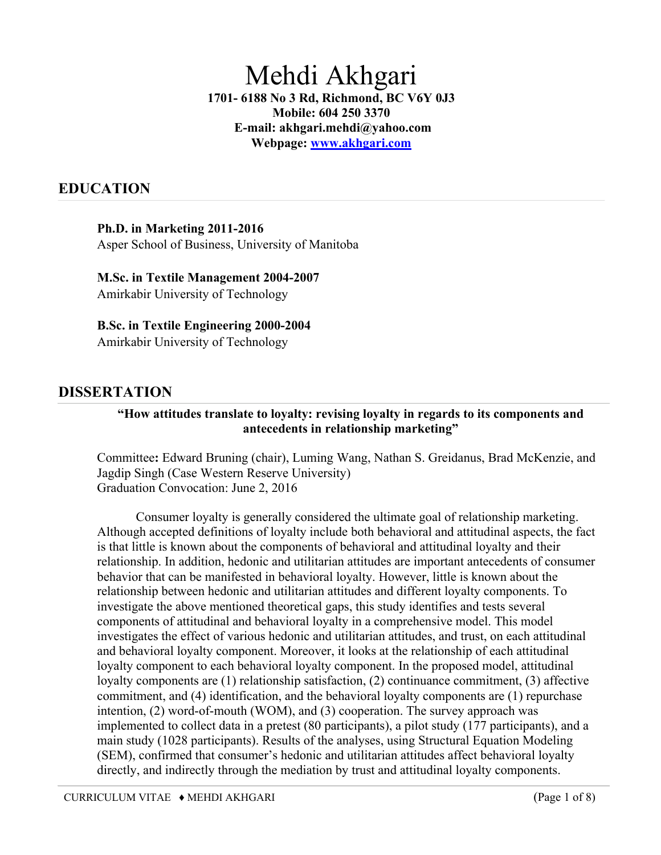# Mehdi Akhgari

**1701- 6188 No 3 Rd, Richmond, BC V6Y 0J3 Mobile: 604 250 3370 E-mail: akhgari.mehdi@yahoo.com Webpage: www.akhgari.com**

# **EDUCATION**

#### **Ph.D. in Marketing 2011-2016**

Asper School of Business, University of Manitoba

**M.Sc. in Textile Management 2004-2007**  Amirkabir University of Technology

#### **B.Sc. in Textile Engineering 2000-2004**

Amirkabir University of Technology

## **DISSERTATION**

#### **"How attitudes translate to loyalty: revising loyalty in regards to its components and antecedents in relationship marketing"**

Committee**:** Edward Bruning (chair), Luming Wang, Nathan S. Greidanus, Brad McKenzie, and Jagdip Singh (Case Western Reserve University) Graduation Convocation: June 2, 2016

Consumer loyalty is generally considered the ultimate goal of relationship marketing. Although accepted definitions of loyalty include both behavioral and attitudinal aspects, the fact is that little is known about the components of behavioral and attitudinal loyalty and their relationship. In addition, hedonic and utilitarian attitudes are important antecedents of consumer behavior that can be manifested in behavioral loyalty. However, little is known about the relationship between hedonic and utilitarian attitudes and different loyalty components. To investigate the above mentioned theoretical gaps, this study identifies and tests several components of attitudinal and behavioral loyalty in a comprehensive model. This model investigates the effect of various hedonic and utilitarian attitudes, and trust, on each attitudinal and behavioral loyalty component. Moreover, it looks at the relationship of each attitudinal loyalty component to each behavioral loyalty component. In the proposed model, attitudinal loyalty components are (1) relationship satisfaction, (2) continuance commitment, (3) affective commitment, and (4) identification, and the behavioral loyalty components are (1) repurchase intention, (2) word-of-mouth (WOM), and (3) cooperation. The survey approach was implemented to collect data in a pretest (80 participants), a pilot study (177 participants), and a main study (1028 participants). Results of the analyses, using Structural Equation Modeling (SEM), confirmed that consumer's hedonic and utilitarian attitudes affect behavioral loyalty directly, and indirectly through the mediation by trust and attitudinal loyalty components.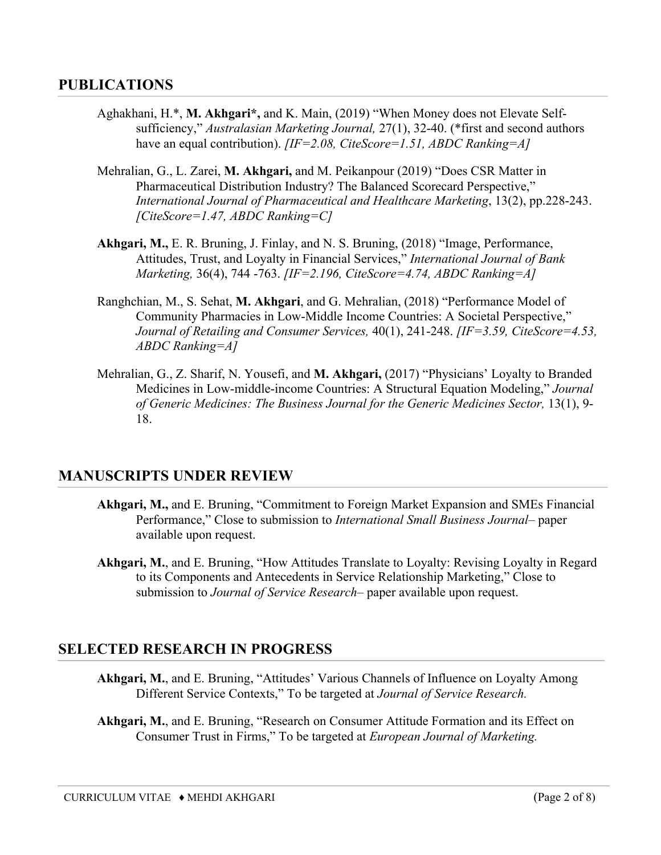## **PUBLICATIONS**

- Aghakhani, H.\*, **M. Akhgari\*,** and K. Main, (2019) "When Money does not Elevate Selfsufficiency," *Australasian Marketing Journal,* 27(1), 32-40. (\*first and second authors have an equal contribution). *[IF=2.08, CiteScore=1.51, ABDC Ranking=A]*
- Mehralian, G., L. Zarei, **M. Akhgari,** and M. Peikanpour (2019) "Does CSR Matter in Pharmaceutical Distribution Industry? The Balanced Scorecard Perspective," *International Journal of Pharmaceutical and Healthcare Marketing*, 13(2), pp.228-243. *[CiteScore=1.47, ABDC Ranking=C]*
- **Akhgari, M.,** E. R. Bruning, J. Finlay, and N. S. Bruning, (2018) "Image, Performance, Attitudes, Trust, and Loyalty in Financial Services," *International Journal of Bank Marketing,* 36(4), 744 -763. *[IF=2.196, CiteScore=4.74, ABDC Ranking=A]*
- Ranghchian, M., S. Sehat, **M. Akhgari**, and G. Mehralian, (2018) "Performance Model of Community Pharmacies in Low-Middle Income Countries: A Societal Perspective," *Journal of Retailing and Consumer Services,* 40(1), 241-248. *[IF=3.59, CiteScore=4.53, ABDC Ranking=A]*
- Mehralian, G., Z. Sharif, N. Yousefi, and **M. Akhgari,** (2017) "Physicians' Loyalty to Branded Medicines in Low-middle-income Countries: A Structural Equation Modeling," *Journal of Generic Medicines: The Business Journal for the Generic Medicines Sector,* 13(1), 9- 18.

## **MANUSCRIPTS UNDER REVIEW**

- **Akhgari, M.,** and E. Bruning, "Commitment to Foreign Market Expansion and SMEs Financial Performance," Close to submission to *International Small Business Journal–* paper available upon request.
- **Akhgari, M.**, and E. Bruning, "How Attitudes Translate to Loyalty: Revising Loyalty in Regard to its Components and Antecedents in Service Relationship Marketing," Close to submission to *Journal of Service Research–* paper available upon request.

## **SELECTED RESEARCH IN PROGRESS**

- **Akhgari, M.**, and E. Bruning, "Attitudes' Various Channels of Influence on Loyalty Among Different Service Contexts," To be targeted at *Journal of Service Research.*
- **Akhgari, M.**, and E. Bruning, "Research on Consumer Attitude Formation and its Effect on Consumer Trust in Firms," To be targeted at *European Journal of Marketing.*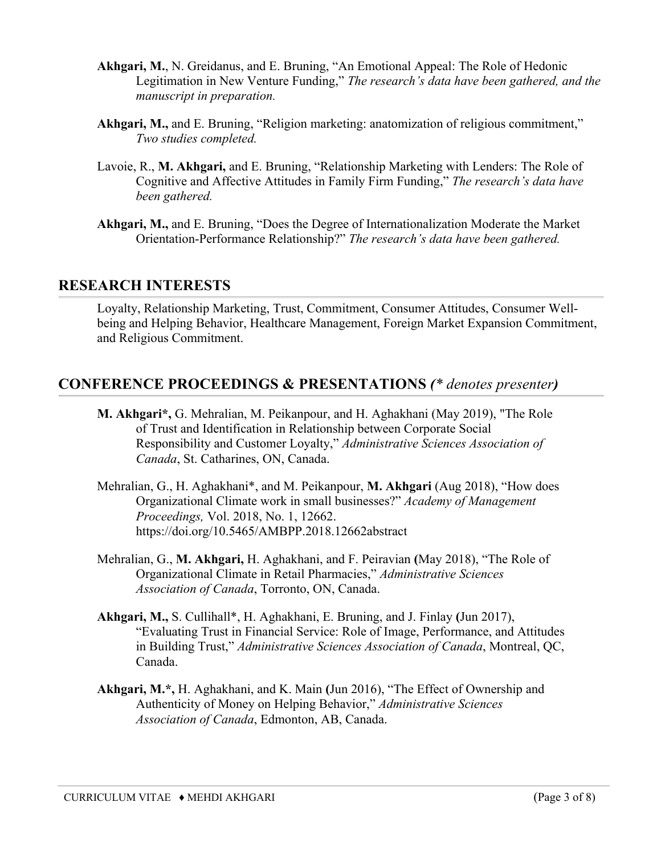- **Akhgari, M.**, N. Greidanus, and E. Bruning, "An Emotional Appeal: The Role of Hedonic Legitimation in New Venture Funding," *The research's data have been gathered, and the manuscript in preparation.*
- **Akhgari, M.,** and E. Bruning, "Religion marketing: anatomization of religious commitment," *Two studies completed.*
- Lavoie, R., **M. Akhgari,** and E. Bruning, "Relationship Marketing with Lenders: The Role of Cognitive and Affective Attitudes in Family Firm Funding," *The research's data have been gathered.*
- **Akhgari, M.,** and E. Bruning, "Does the Degree of Internationalization Moderate the Market Orientation-Performance Relationship?" *The research's data have been gathered.*

#### **RESEARCH INTERESTS**

Loyalty, Relationship Marketing, Trust, Commitment, Consumer Attitudes, Consumer Wellbeing and Helping Behavior, Healthcare Management, Foreign Market Expansion Commitment, and Religious Commitment.

## **CONFERENCE PROCEEDINGS & PRESENTATIONS** *(\* denotes presenter)*

- **M. Akhgari\*,** G. Mehralian, M. Peikanpour, and H. Aghakhani (May 2019), "The Role of Trust and Identification in Relationship between Corporate Social Responsibility and Customer Loyalty," *Administrative Sciences Association of Canada*, St. Catharines, ON, Canada.
- Mehralian, G., H. Aghakhani\*, and M. Peikanpour, **M. Akhgari** (Aug 2018), "How does Organizational Climate work in small businesses?" *Academy of Management Proceedings,* Vol. 2018, No. 1, 12662. https://doi.org/10.5465/AMBPP.2018.12662abstract
- Mehralian, G., **M. Akhgari,** H. Aghakhani, and F. Peiravian **(**May 2018), "The Role of Organizational Climate in Retail Pharmacies," *Administrative Sciences Association of Canada*, Torronto, ON, Canada.
- **Akhgari, M.,** S. Cullihall\*, H. Aghakhani, E. Bruning, and J. Finlay **(**Jun 2017), "Evaluating Trust in Financial Service: Role of Image, Performance, and Attitudes in Building Trust," *Administrative Sciences Association of Canada*, Montreal, QC, Canada.
- **Akhgari, M.\*,** H. Aghakhani, and K. Main **(**Jun 2016), "The Effect of Ownership and Authenticity of Money on Helping Behavior," *Administrative Sciences Association of Canada*, Edmonton, AB, Canada.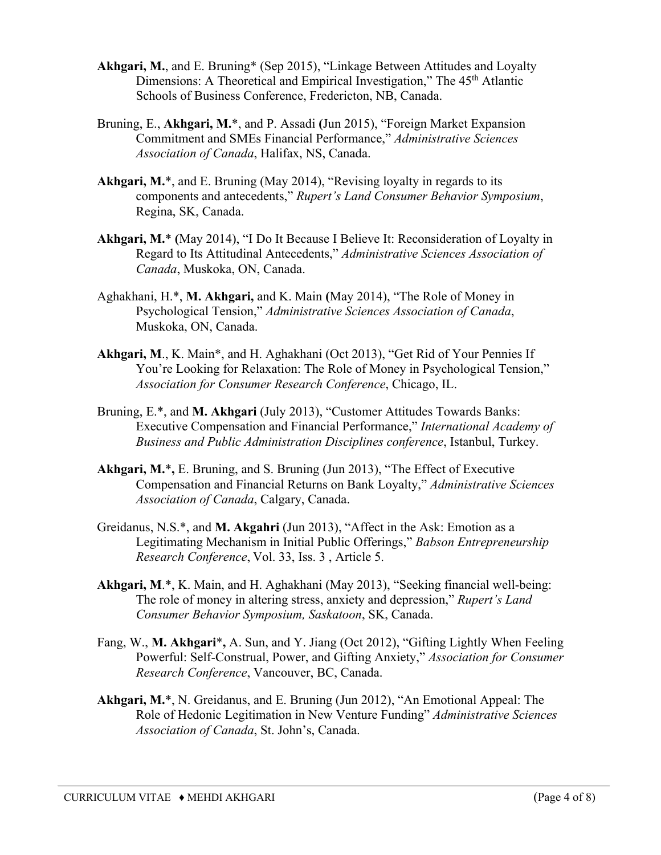- **Akhgari, M.**, and E. Bruning\* (Sep 2015), "Linkage Between Attitudes and Loyalty Dimensions: A Theoretical and Empirical Investigation," The 45<sup>th</sup> Atlantic Schools of Business Conference, Fredericton, NB, Canada.
- Bruning, E., **Akhgari, M.**\*, and P. Assadi **(**Jun 2015), "Foreign Market Expansion Commitment and SMEs Financial Performance," *Administrative Sciences Association of Canada*, Halifax, NS, Canada.
- Akhgari, M.<sup>\*</sup>, and E. Bruning (May 2014), "Revising loyalty in regards to its components and antecedents," *Rupert's Land Consumer Behavior Symposium*, Regina, SK, Canada.
- **Akhgari, M.**\* **(**May 2014), "I Do It Because I Believe It: Reconsideration of Loyalty in Regard to Its Attitudinal Antecedents," *Administrative Sciences Association of Canada*, Muskoka, ON, Canada.
- Aghakhani, H.\*, **M. Akhgari,** and K. Main **(**May 2014), "The Role of Money in Psychological Tension," *Administrative Sciences Association of Canada*, Muskoka, ON, Canada.
- **Akhgari, M**., K. Main\*, and H. Aghakhani (Oct 2013), "Get Rid of Your Pennies If You're Looking for Relaxation: The Role of Money in Psychological Tension," *Association for Consumer Research Conference*, Chicago, IL.
- Bruning, E.\*, and **M. Akhgari** (July 2013), "Customer Attitudes Towards Banks: Executive Compensation and Financial Performance," *International Academy of Business and Public Administration Disciplines conference*, Istanbul, Turkey.
- **Akhgari, M.**\***,** E. Bruning, and S. Bruning (Jun 2013), "The Effect of Executive Compensation and Financial Returns on Bank Loyalty," *Administrative Sciences Association of Canada*, Calgary, Canada.
- Greidanus, N.S.\*, and **M. Akgahri** (Jun 2013), "Affect in the Ask: Emotion as a Legitimating Mechanism in Initial Public Offerings," *Babson Entrepreneurship Research Conference*, Vol. 33, Iss. 3 , Article 5.
- **Akhgari, M**.\*, K. Main, and H. Aghakhani (May 2013), "Seeking financial well-being: The role of money in altering stress, anxiety and depression," *Rupert's Land Consumer Behavior Symposium, Saskatoon*, SK, Canada.
- Fang, W., **M. Akhgari**\***,** A. Sun, and Y. Jiang (Oct 2012), "Gifting Lightly When Feeling Powerful: Self-Construal, Power, and Gifting Anxiety," *Association for Consumer Research Conference*, Vancouver, BC, Canada.
- **Akhgari, M.**\*, N. Greidanus, and E. Bruning (Jun 2012), "An Emotional Appeal: The Role of Hedonic Legitimation in New Venture Funding" *Administrative Sciences Association of Canada*, St. John's, Canada.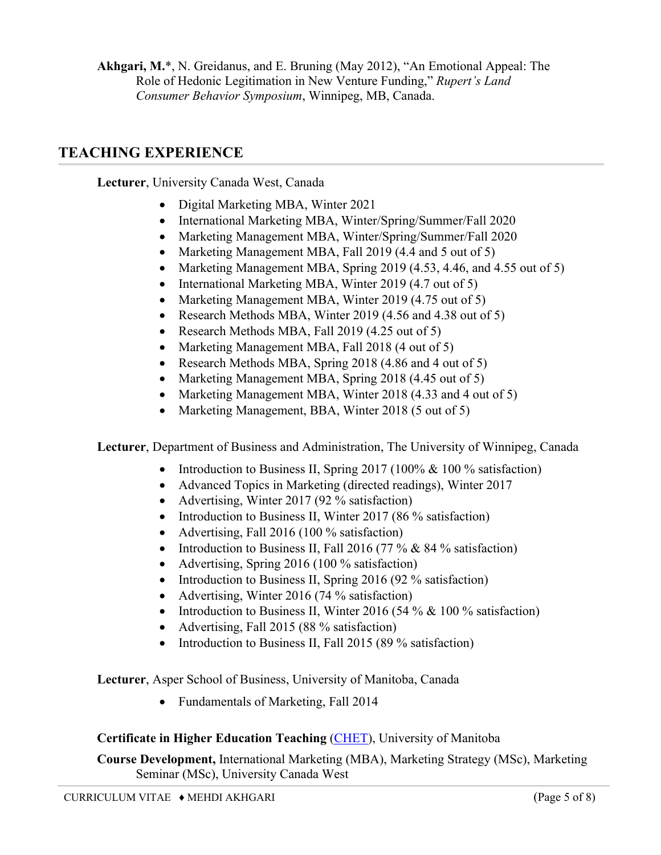**Akhgari, M.**\*, N. Greidanus, and E. Bruning (May 2012), "An Emotional Appeal: The Role of Hedonic Legitimation in New Venture Funding," *Rupert's Land Consumer Behavior Symposium*, Winnipeg, MB, Canada.

## **TEACHING EXPERIENCE**

**Lecturer**, University Canada West, Canada

- Digital Marketing MBA, Winter 2021
- International Marketing MBA, Winter/Spring/Summer/Fall 2020
- Marketing Management MBA, Winter/Spring/Summer/Fall 2020
- Marketing Management MBA, Fall 2019 (4.4 and 5 out of 5)
- Marketing Management MBA, Spring 2019 (4.53, 4.46, and 4.55 out of 5)
- International Marketing MBA, Winter 2019 (4.7 out of 5)
- Marketing Management MBA, Winter 2019 (4.75 out of 5)
- Research Methods MBA, Winter 2019 (4.56 and 4.38 out of 5)
- Research Methods MBA, Fall 2019 (4.25 out of 5)
- Marketing Management MBA, Fall 2018 (4 out of 5)
- Research Methods MBA, Spring 2018 (4.86 and 4 out of 5)
- Marketing Management MBA, Spring 2018 (4.45 out of 5)
- Marketing Management MBA, Winter 2018 (4.33 and 4 out of 5)
- Marketing Management, BBA, Winter 2018 (5 out of 5)

**Lecturer**, Department of Business and Administration, The University of Winnipeg, Canada

- Introduction to Business II, Spring 2017 (100% & 100 % satisfaction)
- Advanced Topics in Marketing (directed readings), Winter 2017
- Advertising, Winter 2017 (92 % satisfaction)
- Introduction to Business II, Winter 2017 (86 % satisfaction)
- Advertising, Fall 2016 (100 % satisfaction)
- Introduction to Business II, Fall 2016 (77 % & 84 % satisfaction)
- Advertising, Spring 2016 (100 % satisfaction)
- Introduction to Business II, Spring 2016 (92 % satisfaction)
- Advertising, Winter 2016 (74 % satisfaction)
- Introduction to Business II, Winter 2016 (54 %  $& 100$  % satisfaction)
- Advertising, Fall 2015 (88 % satisfaction)
- Introduction to Business II, Fall 2015 (89 % satisfaction)

**Lecturer**, Asper School of Business, University of Manitoba, Canada

• Fundamentals of Marketing, Fall 2014

#### **Certificate in Higher Education Teaching** (CHET), University of Manitoba

**Course Development,** International Marketing (MBA), Marketing Strategy (MSc), Marketing Seminar (MSc), University Canada West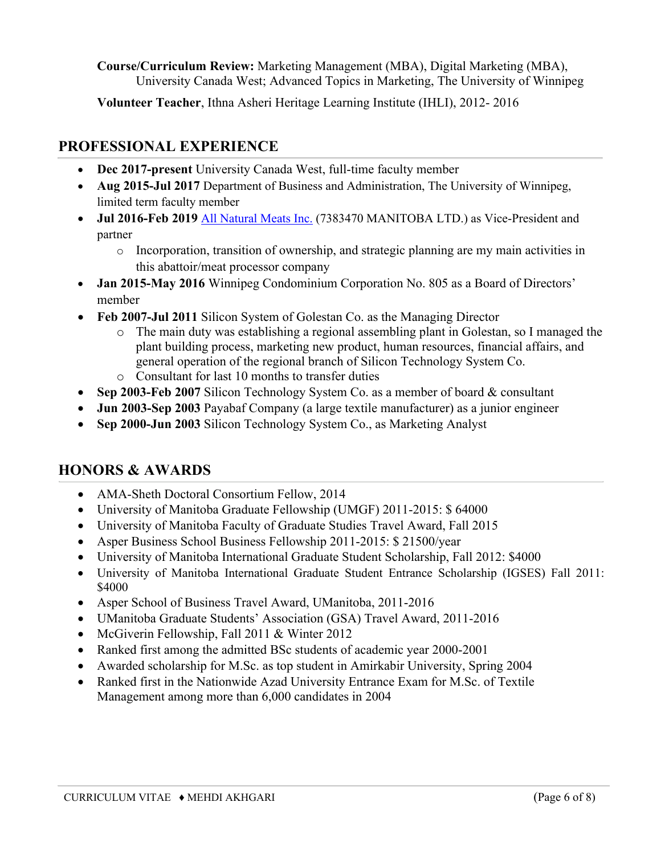**Course/Curriculum Review:** Marketing Management (MBA), Digital Marketing (MBA), University Canada West; Advanced Topics in Marketing, The University of Winnipeg

**Volunteer Teacher**, Ithna Asheri Heritage Learning Institute (IHLI), 2012- 2016

# **PROFESSIONAL EXPERIENCE**

- **Dec 2017-present** University Canada West, full-time faculty member
- **Aug 2015-Jul 2017** Department of Business and Administration, The University of Winnipeg, limited term faculty member
- **Jul 2016-Feb 2019** All Natural Meats Inc. (7383470 MANITOBA LTD.) as Vice-President and partner
	- o Incorporation, transition of ownership, and strategic planning are my main activities in this abattoir/meat processor company
- **Jan 2015-May 2016** Winnipeg Condominium Corporation No. 805 as a Board of Directors' member
- **Feb 2007-Jul 2011** Silicon System of Golestan Co. as the Managing Director
	- o The main duty was establishing a regional assembling plant in Golestan, so I managed the plant building process, marketing new product, human resources, financial affairs, and general operation of the regional branch of Silicon Technology System Co.
	- o Consultant for last 10 months to transfer duties
- **Sep 2003-Feb 2007** Silicon Technology System Co. as a member of board & consultant
- **Jun 2003-Sep 2003** Payabaf Company (a large textile manufacturer) as a junior engineer
- **Sep 2000-Jun 2003** Silicon Technology System Co., as Marketing Analyst

# **HONORS & AWARDS**

- AMA-Sheth Doctoral Consortium Fellow, 2014
- University of Manitoba Graduate Fellowship (UMGF) 2011-2015: \$ 64000
- University of Manitoba Faculty of Graduate Studies Travel Award, Fall 2015
- Asper Business School Business Fellowship 2011-2015: \$ 21500/year
- University of Manitoba International Graduate Student Scholarship, Fall 2012: \$4000
- University of Manitoba International Graduate Student Entrance Scholarship (IGSES) Fall 2011: \$4000
- Asper School of Business Travel Award, UManitoba, 2011-2016
- UManitoba Graduate Students' Association (GSA) Travel Award, 2011-2016
- McGiverin Fellowship, Fall 2011 & Winter 2012
- Ranked first among the admitted BSc students of academic year 2000-2001
- Awarded scholarship for M.Sc. as top student in Amirkabir University, Spring 2004
- Ranked first in the Nationwide Azad University Entrance Exam for M.Sc. of Textile Management among more than 6,000 candidates in 2004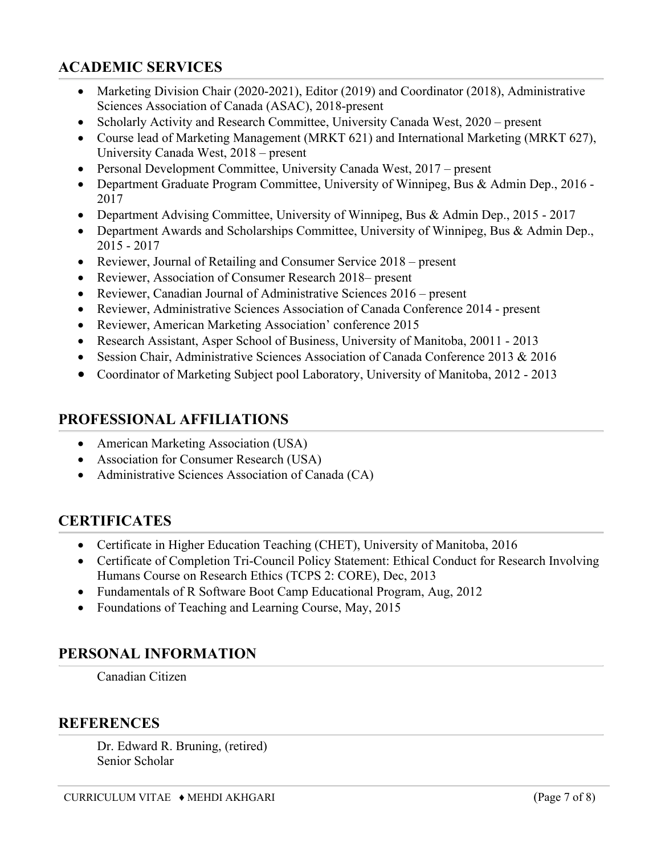# **ACADEMIC SERVICES**

- Marketing Division Chair (2020-2021), Editor (2019) and Coordinator (2018), Administrative Sciences Association of Canada (ASAC), 2018-present
- Scholarly Activity and Research Committee, University Canada West, 2020 present
- Course lead of Marketing Management (MRKT 621) and International Marketing (MRKT 627), University Canada West, 2018 – present
- Personal Development Committee, University Canada West, 2017 present
- Department Graduate Program Committee, University of Winnipeg, Bus & Admin Dep., 2016 -2017
- Department Advising Committee, University of Winnipeg, Bus & Admin Dep., 2015 2017
- Department Awards and Scholarships Committee, University of Winnipeg, Bus & Admin Dep., 2015 - 2017
- Reviewer, Journal of Retailing and Consumer Service 2018 present
- Reviewer, Association of Consumer Research 2018– present
- Reviewer, Canadian Journal of Administrative Sciences 2016 present
- Reviewer, Administrative Sciences Association of Canada Conference 2014 present
- Reviewer, American Marketing Association' conference 2015
- Research Assistant, Asper School of Business, University of Manitoba, 20011 2013
- Session Chair, Administrative Sciences Association of Canada Conference 2013 & 2016
- Coordinator of Marketing Subject pool Laboratory, University of Manitoba, 2012 2013

## **PROFESSIONAL AFFILIATIONS**

- American Marketing Association (USA)
- Association for Consumer Research (USA)
- Administrative Sciences Association of Canada (CA)

# **CERTIFICATES**

- Certificate in Higher Education Teaching (CHET), University of Manitoba, 2016
- Certificate of Completion Tri-Council Policy Statement: Ethical Conduct for Research Involving Humans Course on Research Ethics (TCPS 2: CORE), Dec, 2013
- Fundamentals of R Software Boot Camp Educational Program, Aug, 2012
- Foundations of Teaching and Learning Course, May, 2015

## **PERSONAL INFORMATION**

Canadian Citizen

## **REFERENCES**

Dr. Edward R. Bruning, (retired) Senior Scholar